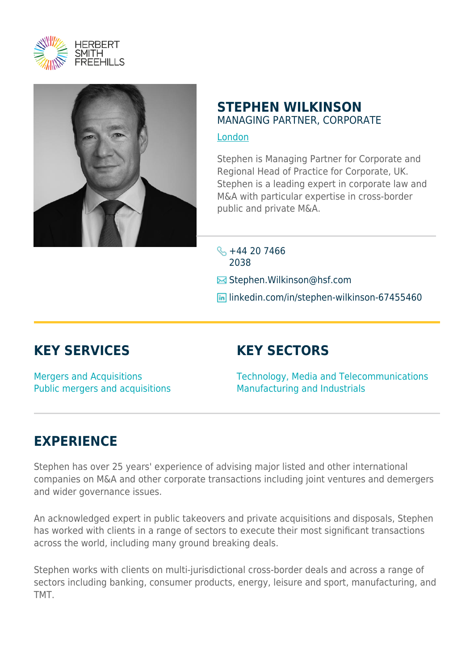



### **STEPHEN WILKINSON** MANAGING PARTNER, CORPORATE

### [London](https://www.herbertsmithfreehills.com/lang-ko/where-we-work/london)

Stephen is Managing Partner for Corporate and Regional Head of Practice for Corporate, UK. Stephen is a leading expert in corporate law and M&A with particular expertise in cross-border public and private M&A.

 $\frac{1}{5}$  +44 20 7466 2038  $\blacksquare$  Stephen. Wilkinson@hsf.com **in** linkedin.com/in/stephen-wilkinson-67455460

# **KEY SERVICES**

# **KEY SECTORS**

Mergers and Acquisitions Public mergers and acquisitions Technology, Media and Telecommunications Manufacturing and Industrials

# **EXPERIENCE**

Stephen has over 25 years' experience of advising major listed and other international companies on M&A and other corporate transactions including joint ventures and demergers and wider governance issues.

An acknowledged expert in public takeovers and private acquisitions and disposals, Stephen has worked with clients in a range of sectors to execute their most significant transactions across the world, including many ground breaking deals.

Stephen works with clients on multi-jurisdictional cross-border deals and across a range of sectors including banking, consumer products, energy, leisure and sport, manufacturing, and TMT.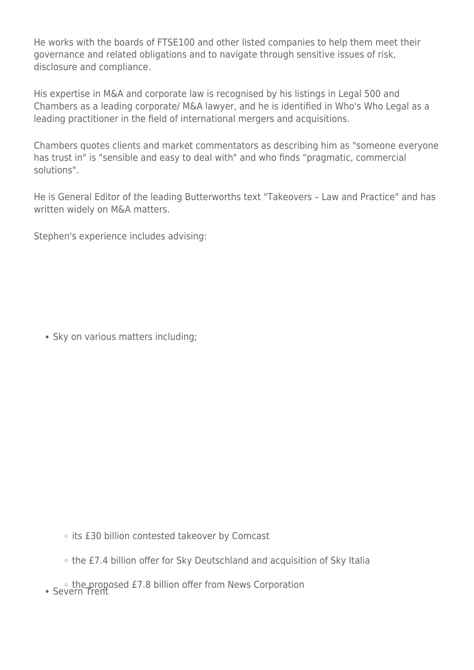He works with the boards of FTSE100 and other listed companies to help them meet their governance and related obligations and to navigate through sensitive issues of risk, disclosure and compliance.

His expertise in M&A and corporate law is recognised by his listings in Legal 500 and Chambers as a leading corporate/ M&A lawyer, and he is identified in Who's Who Legal as a leading practitioner in the field of international mergers and acquisitions.

Chambers quotes clients and market commentators as describing him as "someone everyone has trust in" is "sensible and easy to deal with" and who finds "pragmatic, commercial solutions".

He is General Editor of the leading Butterworths text "Takeovers – Law and Practice" and has written widely on M&A matters.

Stephen's experience includes advising:

• Sky on various matters including:

o its £30 billion contested takeover by Comcast

the £7.4 billion offer for Sky Deutschland and acquisition of Sky Italia

• Severn Trent 17.8 billion offer from News Corporation